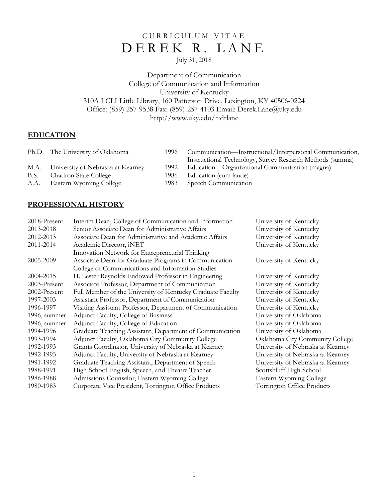# CURRICULUM VITAE DEREK R. LANE

# July 31, 2018

Department of Communication College of Communication and Information University of Kentucky 310A LCLI Little Library, 160 Patterson Drive, Lexington, KY 40506-0224 Office: (859) 257-9538 Fax: (859)-257-4103 Email: Derek.Lane@uky.edu http://www.uky.edu/~drlane

# **EDUCATION**

|      | Ph.D. The University of Oklahoma  | 1996- | Communication—Instructional/Interpersonal Communication,  |
|------|-----------------------------------|-------|-----------------------------------------------------------|
|      |                                   |       | Instructional Technology, Survey Research Methods (summa) |
| M.A. | University of Nebraska at Kearney | 1992  | Education—Organizational Communication (magna)            |
| B.S. | Chadron State College             | 1986- | Education (cum laude)                                     |
| A.A. | Eastern Wyoming College           |       | 1983 Speech Communication                                 |

## **PROFESSIONAL HISTORY**

| 2018-Present | Interim Dean, College of Communication and Information     | University of Kentucky            |
|--------------|------------------------------------------------------------|-----------------------------------|
| 2013-2018    | Senior Associate Dean for Administrative Affairs           | University of Kentucky            |
| 2012-2013    | Associate Dean for Administrative and Academic Affairs     | University of Kentucky            |
| 2011-2014    | Academic Director, iNET                                    | University of Kentucky            |
|              | Innovation Network for Entrepreneurial Thinking            |                                   |
| 2005-2009    | Associate Dean for Graduate Programs in Communication      | University of Kentucky            |
|              | College of Communications and Information Studies          |                                   |
| 2004-2015    | H. Lester Reynolds Endowed Professor in Engineering        | University of Kentucky            |
| 2003-Present | Associate Professor, Department of Communication           | University of Kentucky            |
| 2002-Present | Full Member of the University of Kentucky Graduate Faculty | University of Kentucky            |
| 1997-2003    | Assistant Professor, Department of Communication           | University of Kentucky            |
| 1996-1997    | Visiting Assistant Professor, Department of Communication  | University of Kentucky            |
| 1996, summer | Adjunct Faculty, College of Business                       | University of Oklahoma            |
| 1996, summer | Adjunct Faculty, College of Education                      | University of Oklahoma            |
| 1994-1996    | Graduate Teaching Assistant, Department of Communication   | University of Oklahoma            |
| 1993-1994    | Adjunct Faculty, Oklahoma City Community College           | Oklahoma City Community College   |
| 1992-1993    | Grants Coordinator, University of Nebraska at Kearney      | University of Nebraska at Kearney |
| 1992-1993    | Adjunct Faculty, University of Nebraska at Kearney         | University of Nebraska at Kearney |
| 1991-1992    | Graduate Teaching Assistant, Department of Speech          | University of Nebraska at Kearney |
| 1988-1991    | High School English, Speech, and Theatre Teacher           | Scottsbluff High School           |
| 1986-1988    | Admissions Counselor, Eastern Wyoming College              | Eastern Wyoming College           |
| 1980-1983    | Corporate Vice President, Torrington Office Products       | Torrington Office Products        |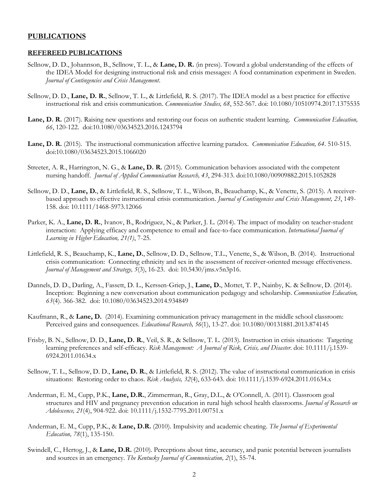### **PUBLICATIONS**

### **REFEREED PUBLICATIONS**

- Sellnow, D. D., Johannson, B., Sellnow, T. L., & **Lane, D. R.** (in press). Toward a global understanding of the effects of the IDEA Model for designing instructional risk and crisis messages: A food contamination experiment in Sweden. *Journal of Contingencies and Crisis Management*.
- Sellnow, D. D., **Lane, D. R.**, Sellnow, T. L., & Littlefield, R. S. (2017). The IDEA model as a best practice for effective instructional risk and crisis communication. *Communication Studies, 68*, 552-567. doi: 10.1080/10510974.2017.1375535
- **Lane, D. R.** (2017). Raising new questions and restoring our focus on authentic student learning. *Communication Education, 66*, 120-122. doi:10.1080/03634523.2016.1243794
- **Lane, D. R.** (2015). The instructional communication affective learning paradox. *Communication Education, 64*. 510-515. doi:10.1080/03634523.2015.1066020
- Streeter, A. R., Harrington, N. G., & **Lane, D. R.** (2015). Communication behaviors associated with the competent nursing handoff. *Journal of Applied Communication Research, 43*, 294-313. doi:10.1080/00909882.2015.1052828
- Sellnow, D. D., **Lane, D.**, & Littlefield, R. S., Sellnow, T. L., Wilson, B., Beauchamp, K., & Venette, S. (2015). A receiverbased approach to effective instructional crisis communication. *Journal of Contingencies and Crisis Management, 23*, 149- 158. doi: 10.1111/1468-5973.12066
- Parker, K. A., **Lane, D. R.**, Ivanov, B., Rodriguez, N., & Parker, J. L. (2014). The impact of modality on teacher-student interaction: Applying efficacy and competence to email and face-to-face communication. *International Journal of Learning in Higher Education, 21(1)*, 7-25*.*
- Littlefield, R. S., Beauchamp, K., **Lane, D.**, Sellnow, D. D., Sellnow, T.L., Venette, S., & Wilson, B. (2014). Instructional crisis communication: Connecting ethnicity and sex in the assessment of receiver-oriented message effectiveness. *Journal of Management and Strategy, 5*(3), 16-23. doi: 10.5430/jms.v5n3p16.
- Dannels, D. D., Darling, A., Fassett, D. L., Kerssen-Griep, J., **Lane, D.**, Mottet, T. P., Nainby, K. & Sellnow, D. (2014). Inception: Beginning a new conversation about communication pedagogy and scholarship. *Communication Education, 63*(4). 366-382. doi: 10.1080/03634523.2014.934849
- Kaufmann, R., & **Lane, D.** (2014). Examining communication privacy management in the middle school classroom: Perceived gains and consequences. *Educational Research, 56*(1), 13-27. doi: 10.1080/00131881.2013.874145
- Frisby, B. N., Sellnow, D. D., **Lane, D. R.**, Veil, S. R., & Sellnow, T. L. (2013). Instruction in crisis situations: Targeting learning preferences and self-efficacy. *Risk Management: A Journal of Risk, Crisis, and Disaster*. doi: 10.1111/j.1539- 6924.2011.01634.x
- Sellnow, T. L., Sellnow, D. D., **Lane, D. R.**, & Littlefield, R. S. (2012). The value of instructional communication in crisis situations: Restoring order to chaos. *Risk Analysis, 32*(4), 633-643. doi: 10.1111/j.1539-6924.2011.01634.x
- Anderman, E. M., Cupp, P.K., **Lane, D.R.**, Zimmerman, R., Gray, D.L., & O'Connell, A. (2011). Classroom goal structures and HIV and pregnancy prevention education in rural high school health classrooms. *Journal of Research on Adolescence, 21*(4), 904-922. doi: 10.1111/j.1532-7795.2011.00751.x
- Anderman, E. M., Cupp, P.K., & **Lane, D.R.** (2010). Impulsivity and academic cheating. *The Journal of Experimental Education, 78*(1), 135-150.
- Swindell, C., Hertog, J., & **Lane, D.R.** (2010). Perceptions about time, accuracy, and panic potential between journalists and sources in an emergency. *The Kentucky Journal of Communication, 2*(1), 55-74.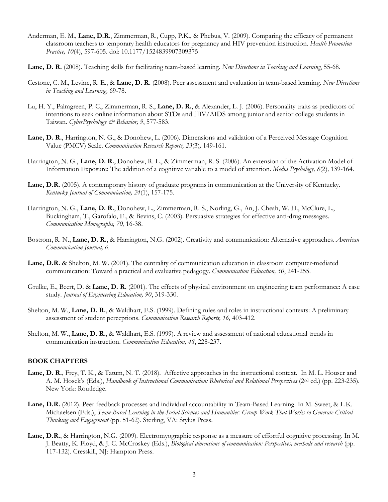- Anderman, E. M., **Lane, D.R**., Zimmerman, R., Cupp, P.K., & Phebus, V. (2009). Comparing the efficacy of permanent classroom teachers to temporary health educators for pregnancy and HIV prevention instruction. *Health Promotion Practice, 10*(4), 597-605. doi: 10.1177/1524839907309375
- **Lane, D. R.** (2008). Teaching skills for facilitating team-based learning. *New Directions in Teaching and Learning*, 55-68.
- Cestone, C. M., Levine, R. E., & **Lane, D. R.** (2008). Peer assessment and evaluation in team-based learning. *New Directions in Teaching and Learning,* 69-78.
- Lu, H. Y., Palmgreen, P. C., Zimmerman, R. S., **Lane, D. R.**, & Alexander, L. J. (2006). Personality traits as predictors of intentions to seek online information about STDs and HIV/AIDS among junior and senior college students in Taiwan. *CyberPsychology & Behavior, 9*, 577-583.
- **Lane, D. R.**, Harrington, N. G., & Donohew, L. (2006). Dimensions and validation of a Perceived Message Cognition Value (PMCV) Scale. *Communication Research Reports, 23*(3)*,* 149-161.
- Harrington, N. G., **Lane, D. R.**, Donohew, R. L., & Zimmerman, R. S. (2006). An extension of the Activation Model of Information Exposure: The addition of a cognitive variable to a model of attention. *Media Psychology, 8*(2)*,* 139-164.
- **Lane, D.R.** (2005). A contemporary history of graduate programs in communication at the University of Kentucky. *Kentucky Journal of Communication, 24*(1), 157-175.
- Harrington, N. G., **Lane, D. R.**, Donohew, L., Zimmerman, R. S., Norling, G., An, J. Cheah, W. H., McClure, L., Buckingham, T., Garofalo, E., & Bevins, C. (2003). Persuasive strategies for effective anti-drug messages. *Communication Monographs, 70*, 16-38.
- Bostrom, R. N., **Lane, D. R.**, & Harrington, N.G. (2002). Creativity and communication: Alternative approaches. *American Communication Journal, 6*.
- **Lane, D.R.** & Shelton, M. W. (2001). The centrality of communication education in classroom computer-mediated communication: Toward a practical and evaluative pedagogy. *Communication Education, 50*, 241-255.
- Grulke, E., Beert, D. & **Lane, D. R.** (2001). The effects of physical environment on engineering team performance: A case study. *Journal of Engineering Education, 90*, 319-330.
- Shelton, M. W., **Lane, D. R.**, & Waldhart, E.S. (1999). Defining rules and roles in instructional contexts: A preliminary assessment of student perceptions. *Communication Research Reports, 16,* 403-412.
- Shelton, M. W., **Lane, D. R.**, & Waldhart, E.S. (1999). A review and assessment of national educational trends in communication instruction. *Communication Education, 48*, 228-237.

### **BOOK CHAPTERS**

- **Lane, D. R.**, Frey, T. K., & Tatum, N. T. (2018). Affective approaches in the instructional context. In M. L. Houser and A. M. Hosek's (Eds.), *Handbook of Instructional Communication: Rhetorical and Relational Perspectives* (2nd ed.) (pp. 223-235). New York: Routledge.
- **Lane, D.R.** (2012). Peer feedback processes and individual accountability in Team-Based Learning. In M. Sweet, & L.K. Michaelsen (Eds.), *Team-Based Learning in the Social Sciences and Humanities: Group Work That Works to Generate Critical Thinking and Engagement* (pp. 51-62)*.* Sterling, VA: Stylus Press.
- **Lane, D.R.**, & Harrington, N.G. (2009). Electromyographic response as a measure of effortful cognitive processing. In M. J. Beatty, K. Floyd, & J. C. McCroskey (Eds.), *Biological dimensions of communication: Perspectives, methods and research* (pp. 117-132)*.* Cresskill, NJ: Hampton Press.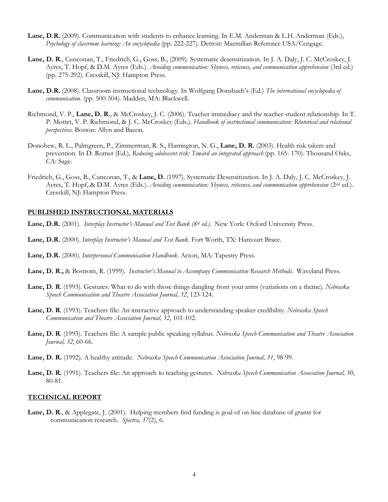- **Lane, D.R.** (2009). Communication with students to enhance learning. In E.M. Anderman & L.H. Anderman (Eds.), *Psychology of classroom learning: An encyclopedia* (pp. 222-227). Detroit: Macmillan Reference USA/Cengage.
- **Lane, D. R.**, Cunconan, T., Friedrich, G., Goss, B., (2009). Systematic desensitization. In J. A. Daly, J. C. McCroskey, J. Ayres, T. Hopf, & D.M. Ayres (Eds.). *Avoiding communication: Shyness, reticence, and communication apprehension* (3rd ed.) (pp. 275-292). Cresskill, NJ: Hampton Press.
- **Lane, D.R.** (2008). Classroom instructional technology. In Wolfgang Donsbach's (Ed.) *The international encyclopedia of communication*. (pp. 500-504). Madden, MA: Blackwell.
- Richmond, V. P., **Lane, D. R.**, & McCroskey, J. C. (2006). Teacher immediacy and the teacher-student relationship. In T. P. Mottet, V. P. Richmond, & J. C. McCroskey (Eds.). *Handbook of instructional communication: Rhetorical and relational perspectives*. Boston: Allyn and Bacon.
- Donohew, R. L., Palmgreen, P., Zimmerman, R. S., Harrington, N. G., **Lane, D. R.** (2003). Health risk takers and prevention. In D. Romer (Ed.), *Reducing adolescent risk: Toward an integrated approach* (pp. 165- 170). Thousand Oaks, CA: Sage.
- Friedrich, G., Goss, B., Cunconan, T., & **Lane, D.** (1997). Systematic Desensitization. In J. A. Daly, J. C. McCroskey, J. Ayres, T. Hopf, & D.M. Ayres (Eds.). *Avoiding communication: Shyness, reticence, and communication apprehension* (2<sup>nd</sup> ed.). Cresskill, NJ: Hampton Press.

### **PUBLISHED INSTRUCTIONAL MATERIALS**

- **Lane, D.R.** (2001). *Interplay Instructor's Manual and Test Bank (8th ed.).* New York: Oxford University Press.
- **Lane, D.R.** (2000). *Interplay Instructor's Manual and Test Bank*. Fort Worth, TX: Harcourt Brace.
- **Lane, D.R.** (2000*). Interpersonal Communication Handbook*. Acton, MA: Tapestry Press.
- **Lane, D. R.,** & Bostrom, R. (1999). *Instructor's Manual to Accompany Communication Research Methods*. Waveland Press.
- **Lane, D. R**. (1993). Gestures: What to do with those things dangling from your arms (variations on a theme). *Nebraska Speech Communication and Theatre Association Journal, 32*, 123-124.
- **Lane, D. R**. (1993). Teachers file: An interactive approach to understanding speaker credibility. *Nebraska Speech Communication and Theatre Association Journal, 32*, 101-102.
- **Lane, D. R**. (1993). Teachers file: A sample public speaking syllabus. *Nebraska Speech Communication and Theatre Association Journal, 32*, 60-66.
- **Lane, D. R.** (1992). A healthy attitude. *Nebraska Speech Communication Association Journal, 31*, 98-99.
- **Lane, D. R.** (1991). Teachers file: An approach to teaching gestures. *Nebraska Speech Communication Association Journal, 30*, 80-81.

### **TECHNICAL REPORT**

**Lane, D. R.**, & Applegate, J. (2001). Helping members find funding is goal of on-line database of grants for communication research. *Spectra, 37*(2), 6*.*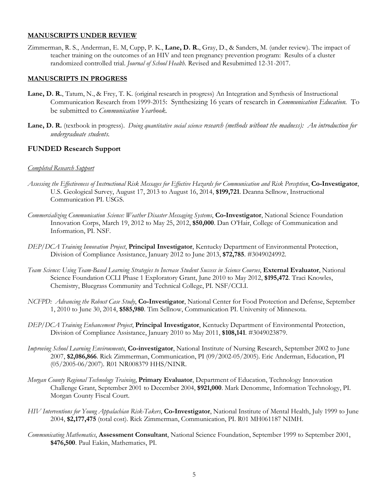### **MANUSCRIPTS UNDER REVIEW**

Zimmerman, R. S., Anderman, E. M, Cupp, P. K., **Lane, D. R.**, Gray, D., & Sanders, M. (under review). The impact of teacher training on the outcomes of an HIV and teen pregnancy prevention program: Results of a cluster randomized controlled trial. *Journal of School Health.* Revised and Resubmitted 12-31-2017.

## **MANUSCRIPTS IN PROGRESS**

- **Lane, D. R.**, Tatum, N., & Frey, T. K. (original research in progress) An Integration and Synthesis of Instructional Communication Research from 1999-2015: Synthesizing 16 years of research in *Communication Education.* To be submitted to *Communication Yearbook.*
- **Lane, D. R.** (textbook in progress). *Doing quantitative social science research (methods without the madness): An introduction for undergraduate students*.

## **FUNDED Research Support**

### *Completed Research Support*

- *Assessing the Effectiveness of Instructional Risk Messages for Effective Hazards for Communication and Risk Perception*, **Co-Investigator**, U.S. Geological Survey, August 17, 2013 to August 16, 2014, **\$199,721**. Deanna Sellnow, Instructional Communication PI. USGS.
- *Commercializing Communication Science: Weather Disaster Messaging Systems*, **Co-Investigator**, National Science Foundation Innovation Corps, March 19, 2012 to May 25, 2012, **\$50,000**. Dan O'Hair, College of Communication and Information, PI. NSF.
- *DEP/DCA Training Innovation Project*, **Principal Investigator**, Kentucky Department of Environmental Protection, Division of Compliance Assistance, January 2012 to June 2013, **\$72,785**. #3049024992.
- *Team Science: Using Team-Based Learning Strategies to Increase Student Success in Science Courses*, **External Evaluator**, National Science Foundation CCLI Phase 1 Exploratory Grant, June 2010 to May 2012, **\$195,472**. Traci Knowles, Chemistry, Bluegrass Community and Technical College, PI. NSF/CCLI.
- *NCFPD: Advancing the Robust Case Study*, **Co-Investigator**, National Center for Food Protection and Defense, September 1, 2010 to June 30, 2014, **\$585,980**. Tim Sellnow, Communication PI. University of Minnesota.
- *DEP/DCA Training Enhancement Project*, **Principal Investigator**, Kentucky Department of Environmental Protection, Division of Compliance Assistance, January 2010 to May 2011, **\$108,141**. #3049023879.
- *Improving School Learning Environments*, **Co-investigator**, National Institute of Nursing Research, September 2002 to June 2007, **\$2,086,866**. Rick Zimmerman, Communication, PI (09/2002-05/2005). Eric Anderman, Education, PI (05/2005-06/2007). R01 NR008379 HHS/NINR.
- *Morgan County Regional Technology Training*, **Primary Evaluator**, Department of Education, Technology Innovation Challenge Grant, September 2001 to December 2004, **\$921,000**. Mark Denomme, Information Technology, PI. Morgan County Fiscal Court.
- *HIV Interventions for Young Appalachian Risk-Takers*, **Co-Investigator**, National Institute of Mental Health, July 1999 to June 2004, **\$2,177,475** (total cost). Rick Zimmerman, Communication, PI. R01 MH061187 NIMH.
- *Communicating Mathematics*, **Assessment Consultant**, National Science Foundation, September 1999 to September 2001, **\$476,500**. Paul Eakin, Mathematics, PI.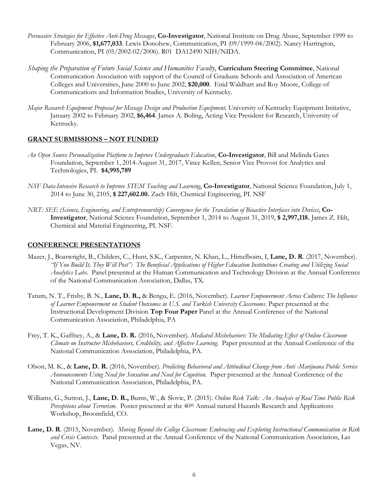- *Persuasive Strategies for Effective Anti-Drug Messages*, **Co-Investigator**, National Institute on Drug Abuse, September 1999 to February 2006, **\$1,677,033**. Lewis Donohew, Communication, PI (09/1999-04/2002). Nancy Harrington, Communication, PI (05/2002-02/2006). R01 DA12490 NIH/NIDA.
- *Shaping the Preparation of Future Social Science and Humanities Faculty*, **Curriculum Steering Committee**, National Communication Association with support of the Council of Graduate Schools and Association of American Colleges and Universities, June 2000 to June 2002, **\$20,000**. Enid Waldhart and Roy Moore, College of Communications and Information Studies, University of Kentucky.
- *Major Research Equipment Proposal for Message Design and Production Equipment,* University of Kentucky Equipment Initiative, January 2002 to February 2002, **\$6,464**. James A. Boling, Acting Vice President for Research, University of Kentucky.

### **GRANT SUBMISSIONS – NOT FUNDED**

- *An Open Source Personalization Platform to Improve Undergraduate Education*, **Co-Investigator**, Bill and Melinda Gates Foundation, September 1, 2014-August 31, 2017, Vince Kellen, Senior Vice Provost for Analytics and Technologies, PI. **\$4,995,789**
- *NSF Data-Intensive Research to Improve STEM Teaching and Learning*, **Co-Investigator**, National Science Foundation, July 1, 2014 to June 30, 2105, **\$ 227,602.00.** Zach Hilt, Chemical Engineering, PI. NSF
- *NRT: SEE (Science, Engineering, and Entrepreneurship) Convergence for the Translation of Bioactive Interfaces into Devices*, **Co-Investigator**, National Science Foundation, September 1, 2014 to August 31, 2019, **\$ 2,997,118.** James Z. Hilt, Chemical and Material Engineering, PI. NSF.

### **CONFERENCE PRESENTATIONS**

- Mazer, J., Boatwright, B., Childers, C., Hunt, S.K., Carpenter, N. Khan, L., Himelboim, I, **Lane, D. R**. (2017, November). *"If You Build It, They Will Post": The Beneficial Applications of Higher Education Institutions Creating and Utilizing Social Analytics Labs*. Panel presented at the Human Communication and Technology Division at the Annual Conference of the National Communication Association, Dallas, TX.
- Tatum, N. T., Frisby, B. N., **Lane, D. R.,** & Bengu, E. (2016, November). *Learner Empowerment Across Cultures: The Influence of Learner Empowerment on Student Outcomes in U.S. and Turkish University Classrooms.* Paper presented at the Instructional Development Division **Top Four Paper** Panel at the Annual Conference of the National Communication Association, Philadelphia, PA
- Frey, T. K., Gaffney, A., & **Lane, D. R.** (2016, November). *Mediated Misbehaviors: The Mediating Effect of Online Classroom Climate on Instructor Misbehaviors, Credibility, and Affective Learning*. Paper presented at the Annual Conference of the National Communication Association, Philadelphia, PA.
- Olson, M. K., & **Lane, D. R.** (2016, November). *Predicting Behavioral and Attitudinal Change from Anti -Marijuana Public Service Announcements Using Need for Sensation and Need for Cognition.* Paper presented at the Annual Conference of the National Communication Association, Philadelphia, PA.
- Williams, G., Sutton, J., **Lane, D. R.,** Burns, W., & Slovic, P. (2015). *Online Risk Talk: An Analysis of Real Time Public Risk Perceptions about Terrorism.* Poster presented at the 40<sup>th</sup> Annual natural Hazards Research and Applications Workshop, Broomfield, CO.
- **Lane, D. R**. (2015, November). *Moving Beyond the College Classroom: Embracing and Exploring Instructional Communication in Risk and Crisis Contexts*. Panel presented at the Annual Conference of the National Communication Association, Las Vegas, NV.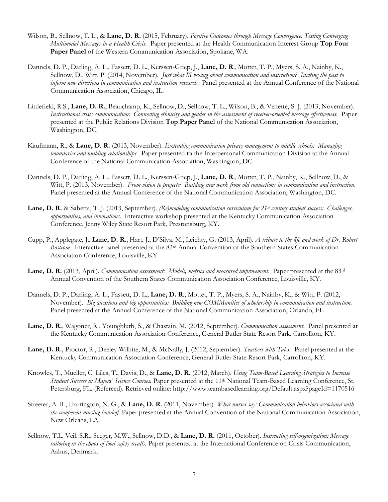- Wilson, B., Sellnow, T. L., & **Lane, D. R.** (2015, February). *Positive Outcomes through Message Convergence: Testing Converging Multimodal Messages in a Health Crisis.* Paper presented at the Health Communication Interest Group **Top Four Paper Panel** of the Western Communication Association, Spokane, WA.
- Dannels, D. P., Darling, A. L., Fassett, D. L., Kerssen-Griep, J., **Lane, D. R**., Mottet, T. P., Myers, S. A., Nainby, K., Sellnow, D., Witt, P. (2014, November). *Just what IS vexing about communication and instruction? Inviting the past to inform new directions in communication and instruction research*. Panel presented at the Annual Conference of the National Communication Association, Chicago, IL.
- Littlefield, R.S., **Lane, D. R.**, Beauchamp, K., Sellnow, D., Sellnow, T. L., Wilson, B., & Venette, S. J. (2013, November). *Instructional crisis communication: Connecting ethnicity and gender in the assessment of receiver-oriented message effectiveness.* Paper presented at the Public Relations Division **Top Paper Panel** of the National Communication Association, Washington, DC.
- Kaufmann, R., & **Lane, D. R.** (2013, November). *Extending communication privacy management to middle schools: Managing boundaries and building relationships.* Paper presented to the Interpersonal Communication Division at the Annual Conference of the National Communication Association, Washington, DC.
- Dannels, D. P., Darling, A. L., Fassett, D. L., Kerssen-Griep, J., **Lane, D. R**., Mottet, T. P., Nainby, K., Sellnow, D., & Witt, P. (2013, November). *From vision to projects: Building new work from old connections in communication and instruction*. Panel presented at the Annual Conference of the National Communication Association, Washington, DC.
- Lane, D. R. & Sabetta, T. J. (2013, September). *(Re)modeling communication curriculum for 21<sup>st</sup> century student success: Challenges, opportunities, and innovations*. Interactive workshop presented at the Kentucky Communication Association Conference, Jenny Wiley State Resort Park, Prestonsburg, KY.
- Cupp, P., Applegate, J., **Lane, D. R.**, Hart, J., D'Silva, M., Leichty, G. (2013, April). *A tribute to the life and work of Dr. Robert Bostrom*. Interactive panel presented at the 83rd Annual Convention of the Southern States Communication Association Conference, Louisville, KY.
- **Lane, D. R.** (2013, April). *Communication assessment: Models, metrics and measured improvement*. Paper presented at the 83rd Annual Convention of the Southern States Communication Association Conference, Louisville, KY.
- Dannels, D. P., Darling, A. L., Fassett, D. L., **Lane, D. R**., Mottet, T. P., Myers, S. A., Nainby, K., & Witt, P. (2012, November). *Big questions and big opportunities: Building new COMMunities of scholarship in communication and instruction*. Panel presented at the Annual Conference of the National Communication Association, Orlando, FL.
- **Lane, D. R.**, Wagoner, R., Youngbluth, S., & Chastain, M. (2012, September). *Communication assessment*. Panel presented at the Kentucky Communication Association Conference, General Butler State Resort Park, Carrollton, KY.
- **Lane, D. R.**, Proctor, R., Deeley-Wilhite, M., & McNally, J. (2012, September). *Teachers with Tales*. Panel presented at the Kentucky Communication Association Conference, General Butler State Resort Park, Carrollton, KY.
- Knowles, T., Mueller, C. Liles, T., Davis, D., & **Lane, D. R.** (2012, March). *Using Team-Based Learning Strategies to Increase Student Success in Majors' Science Courses.* Paper presented at the 11th National Team-Based Learning Conference, St. Petersburg, FL. (Refereed). Retrieved online: http://www.teambasedlearning.org/Default.aspx?pageId=1170516
- Streeter, A. R., Harrington, N. G., & **Lane, D. R.** (2011, November). *What nurses say: Communication behaviors associated with the competent nursing handoff.* Paper presented at the Annual Convention of the National Communication Association, New Orleans, LA.
- Sellnow, T.L. Veil, S.R., Seeger, M.W., Sellnow, D.D., & **Lane, D. R.** (2011, October). *Instructing self-organization: Message tailoring in the chaos of food safety recalls.* Paper presented at the International Conference on Crisis Communication, Aahus, Denmark.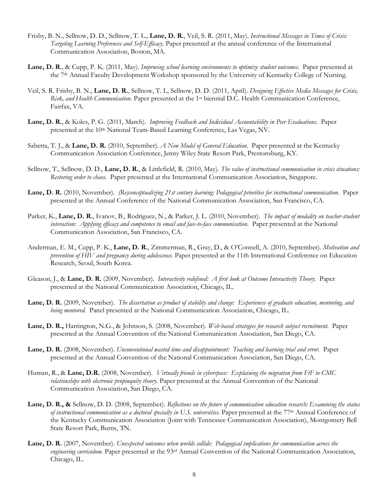- Frisby, B. N., Sellnow, D. D., Sellnow, T. L., **Lane, D. R.**, Veil, S. R. (2011, May). *Instructional Messages in Times of Crisis: Targeting Learning Preferences and Self-Efficacy.* Paper presented at the annual conference of the International Communication Association, Boston, MA.
- **Lane, D. R.**, & Cupp, P. K. (2011, May). *Improving school learning environments to optimize student outcomes*. Paper presented at the 7th Annual Faculty Development Workshop sponsored by the University of Kentucky College of Nursing.
- Veil, S. R. Frisby, B. N., **Lane, D. R.**, Sellnow, T. L, Sellnow, D. D. (2011, April). *Designing Effective Media Messages for Crisis, Risk, and Health Communication*. Paper presented at the 1st biennial D.C. Health Communication Conference, Fairfax, VA.
- **Lane, D. R.**, & Koles, P. G. (2011, March). *Improving Feedback and Individual Accountability in Peer Evaluations*. Paper presented at the 10th National Team-Based Learning Conference, Las Vegas, NV.
- Sabetta, T. J., & **Lane, D. R.** (2010, September). *A New Model of General Education*. Paper presented at the Kentucky Communication Association Conference, Jenny Wiley State Resort Park, Prestonsburg, KY.
- Sellnow, T., Sellnow, D. D., **Lane, D. R.**, & Littlefield, R. (2010, May). *The value of instructional communication in crisis situations: Restoring order to chaos.* Paper presented at the International Communication Association, Singapore.
- **Lane, D. R.** (2010, November). *(Re)conceptualizing 21st century learning: Pedagogical priorities for instructional communication*. Paper presented at the Annual Conference of the National Communication Association, San Francisco, CA.
- Parker, K., **Lane, D. R.**, Ivanov, B., Rodriguez, N., & Parker, J. L. (2010, November). *The impact of modality on teacher-student interaction: Applying efficacy and competence to email and face-to-face communication.* Paper presented at the National Communication Association, San Francisco, CA.
- Anderman, E. M., Cupp, P. K., **Lane, D. R.**, Zimmerman, R., Gray, D., & O'Connell, A. (2010, September). *Motivation and prevention of HIV and pregnancy during adolescence.* Paper presented at the 11th International Conference on Education Research, Seoul, South Korea.
- Gleason, J., & **Lane, D. R.** (2009, November). *Interactivity redefined: A first look at Outcome Interactivity Theory.* Paper presented at the National Communication Association, Chicago, IL.
- **Lane, D. R.** (2009, November). *The dissertation as product of stability and change: Experiences of graduate education, mentoring, and being mentored.* Panel presented at the National Communication Association, Chicago, IL.
- **Lane, D. R.,** Harrington, N.G., & Johnson, S. (2008, November). *Web-based strategies for research subject recruitment.* Paper presented at the Annual Convention of the National Communication Association, San Diego, CA.
- Lane, D. R. (2008, November). *Unconventional wasted time and disappointment: Teaching and learning trial and error*. Paper presented at the Annual Convention of the National Communication Association, San Diego, CA.
- Human, R., & **Lane, D.R.** (2008, November). *Virtually friends in cyberspace: Explaining the migration from FtF to CMC relationships with electronic propinquity theory*. Paper presented at the Annual Convention of the National Communication Association, San Diego, CA.
- **Lane, D. R., &** Sellnow, D. D. (2008, September). *Reflections on the future of communication education research: Examining the status of instructional communication as a doctoral specialty in U.S. universities*. Paper presented at the 77th Annual Conference of the Kentucky Communication Association (Joint with Tennessee Communication Association), Montgomery Bell State Resort Park, Burns, TN.
- **Lane, D. R.** (2007, November). *Unexpected outcomes when worlds collide: Pedagogical implications for communication across the engineering curriculum.* Paper presented at the 93<sup>rd</sup> Annual Convention of the National Communication Association, Chicago, IL.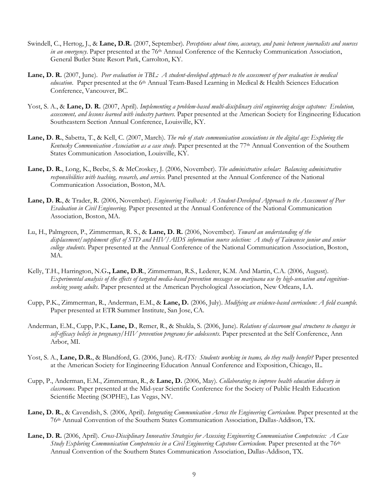- Swindell, C., Hertog, J., & **Lane, D.R.** (2007, September). *Perceptions about time, accuracy, and panic between journalists and sources in an emergency*. Paper presented at the 76<sup>th</sup> Annual Conference of the Kentucky Communication Association, General Butler State Resort Park, Carrolton, KY.
- **Lane, D. R.** (2007, June). *Peer evaluation in TBL: A student-developed approach to the assessment of peer evaluation in medical education*. Paper presented at the 6<sup>th</sup> Annual Team-Based Learning in Medical & Health Sciences Education Conference, Vancouver, BC.
- Yost, S. A., & **Lane, D. R.** (2007, April). *Implementing a problem-based multi-disciplinary civil engineering design capstone: Evolution, assessment, and lessons learned with industry partners*. Paper presented at the American Society for Engineering Education Southeastern Section Annual Conference, Louisville, KY.
- **Lane, D. R.**, Sabetta, T., & Kell, C. (2007, March). *The role of state communication associations in the digital age: Exploring the Kentucky Communication Association as a case study*. Paper presented at the 77th Annual Convention of the Southern States Communication Association, Louisville, KY.
- **Lane, D. R.**, Long, K., Beebe, S. & McCroskey, J. (2006, November). *The administrative scholar: Balancing administrative responsibilities with teaching, research, and service.* Panel presented at the Annual Conference of the National Communication Association, Boston, MA.
- **Lane, D. R.**, & Trader, R. (2006, November). *Engineering Feedback: A Student-Developed Approach to the Assessment of Peer Evaluation in Civil Engineering.* Paper presented at the Annual Conference of the National Communication Association, Boston, MA.
- Lu, H., Palmgreen, P., Zimmerman, R. S., & **Lane, D. R.** (2006, November). *Toward an understanding of the displacement/supplement effect of STD and HIV/AIDS information source selection: A study of Taiwanese junior and senior college students.* Paper presented at the Annual Conference of the National Communication Association, Boston, MA.
- Kelly, T.H., Harrington, N.G**., Lane, D.R**., Zimmerman, R.S., Lederer, K.M. And Martin, C.A. (2006, August). *Experimental analysis of the effects of targeted media-based prevention messages on marijuana use by high-sensation and cognitionseeking young adults*. Paper presented at the American Psychological Association, New Orleans, LA.
- Cupp, P.K., Zimmerman, R., Anderman, E.M., & **Lane, D.** (2006, July). *Modifying an evidence-based curriculum: A field example.* Paper presented at ETR Summer Institute, San Jose, CA.
- Anderman, E.M., Cupp, P.K., **Lane, D**., Remer, R., & Shukla, S. (2006, June). *Relations of classroom goal structures to changes in self-efficacy beliefs in pregnancy/HIV prevention programs for adolescents*. Paper presented at the Self Conference, Ann Arbor, MI.
- Yost, S. A., **Lane, D.R.**, & Blandford, G. (2006, June). *RATS: Students working in teams, do they really benefit?* Paper presented at the American Society for Engineering Education Annual Conference and Exposition, Chicago, IL.
- Cupp, P., Anderman, E.M., Zimmerman, R., & **Lane, D.** (2006, May). *Collaborating to improve health education delivery in classrooms*. Paper presented at the Mid-year Scientific Conference for the Society of Public Health Education Scientific Meeting (SOPHE), Las Vegas, NV.
- **Lane, D. R.**, & Cavendish, S. (2006, April). *Integrating Communication Across the Engineering Curriculum.* Paper presented at the 76th Annual Convention of the Southern States Communication Association, Dallas-Addison, TX.
- **Lane, D. R.** (2006, April). *Cross-Disciplinary Innovative Strategies for Assessing Engineering Communication Competencies: A Case Study Exploring Communication Competencies in a Civil Engineering Capstone Curriculum. Paper presented at the 76<sup>th</sup>* Annual Convention of the Southern States Communication Association, Dallas-Addison, TX.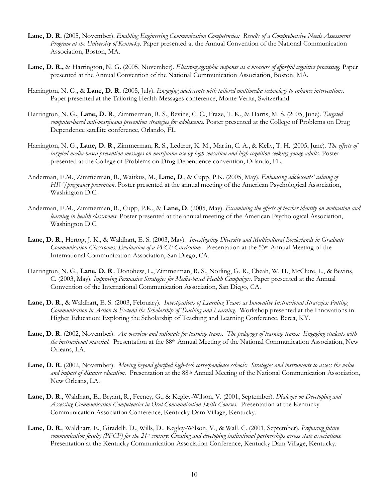- **Lane, D. R.** (2005, November). *Enabling Engineering Communication Competencies: Results of a Comprehensive Needs Assessment Program at the University of Kentucky.* Paper presented at the Annual Convention of the National Communication Association, Boston, MA.
- **Lane, D. R.,** & Harrington, N. G. (2005, November). *Electromyographic response as a measure of effortful cognitive processing.* Paper presented at the Annual Convention of the National Communication Association, Boston, MA.
- Harrington, N. G., & **Lane, D. R.** (2005, July). *Engaging adolescents with tailored multimedia technology to enhance interventions.*  Paper presented at the Tailoring Health Messages conference, Monte Verita, Switzerland.
- Harrington, N. G**.**, **Lane, D. R**., Zimmerman, R. S., Bevins, C. C., Fraze, T. K., & Harris, M. S. (2005, June). *Targeted computer-based anti-marijuana prevention strategies for adolescents.* Poster presented at the College of Problems on Drug Dependence satellite conference, Orlando, FL.
- Harrington, N. G., **Lane, D. R**., Zimmerman, R. S., Lederer, K. M., Martin, C. A., & Kelly, T. H. (2005, June). *The effects of targeted media-based prevention messages on marijuana use by high sensation and high cognition seeking young adults.* Poster presented at the College of Problems on Drug Dependence convention, Orlando, FL.
- Anderman, E.M., Zimmerman, R., Waitkus, M., **Lane, D**., & Cupp, P.K. (2005, May). *Enhancing adolescents' valuing of HIV/pregnancy prevention*. Poster presented at the annual meeting of the American Psychological Association, Washington D.C.
- Anderman, E.M., Zimmerman, R., Cupp, P.K., & **Lane, D**. (2005, May). *Examining the effects of teacher identity on motivation and learning in health classrooms*. Poster presented at the annual meeting of the American Psychological Association, Washington D.C.
- **Lane, D. R.**, Hertog, J. K., & Waldhart, E. S. (2003, May). *Investigating Diversity and Multicultural Borderlands in Graduate Communication Classrooms: Evaluation of a PFCF Curriculum.* Presentation at the 53<sup>rd</sup> Annual Meeting of the International Communication Association, San Diego, CA.
- Harrington, N. G., **Lane, D. R**., Donohew, L., Zimmerman, R. S., Norling, G. R., Cheah, W. H., McClure, L., & Bevins, C. (2003, May). *Improving Persuasive Strategies for Media-based Health Campaigns.* Paper presented at the Annual Convention of the International Communication Association, San Diego, CA.
- **Lane, D. R.**, & Waldhart, E. S. (2003, February). *Investigations of Learning Teams as Innovative Instructional Strategies: Putting Communication in Action to Extend the Scholarship of Teaching and Learning*. Workshop presented at the Innovations in Higher Education: Exploring the Scholarship of Teaching and Learning Conference, Berea, KY.
- **Lane, D. R.** (2002, November). *An overview and rationale for learning teams. The pedagogy of learning teams: Engaging students with the instructional material.* Presentation at the 88th Annual Meeting of the National Communication Association, New Orleans, LA.
- **Lane, D. R.** (2002, November). *Moving beyond glorified high-tech correspondence schools: Strategies and instruments to assess the value and impact of distance education.* Presentation at the 88th Annual Meeting of the National Communication Association, New Orleans, LA.
- **Lane, D. R.**, Waldhart, E., Bryant, R., Feeney, G., & Kegley-Wilson, V. (2001, September). *Dialogue on Developing and Assessing Communication Competencies in Oral Communication Skills Courses*. Presentation at the Kentucky Communication Association Conference, Kentucky Dam Village, Kentucky.
- **Lane, D. R.**, Waldhart, E., Giradelli, D., Wills, D., Kegley-Wilson, V., & Wall, C. (2001, September). *Preparing future communication faculty (PFCF) for the 21st century: Creating and developing institutional partnerships across state associations.* Presentation at the Kentucky Communication Association Conference, Kentucky Dam Village, Kentucky.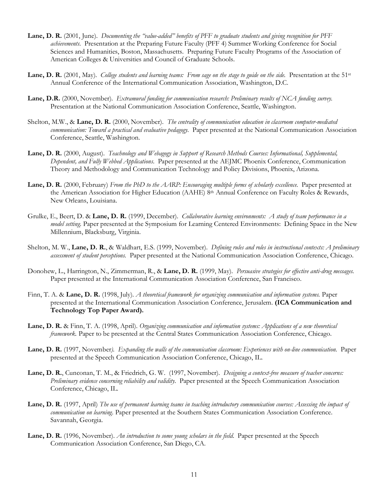- **Lane, D. R.** (2001, June). *Documenting the "value-added" benefits of PFF to graduate students and giving recognition for PFF achievements*. Presentation at the Preparing Future Faculty (PFF 4) Summer Working Conference for Social Sciences and Humanities, Boston, Massachusetts. Preparing Future Faculty Programs of the Association of American Colleges & Universities and Council of Graduate Schools.
- **Lane, D. R.** (2001, May). *College students and learning teams: From sage on the stage to guide on the side.* Presentation at the 51st Annual Conference of the International Communication Association, Washington, D.C.
- **Lane, D.R.** (2000, November). *Extramural funding for communication research: Preliminary results of NCA funding survey.*  Presentation at the National Communication Association Conference, Seattle, Washington.
- Shelton, M.W., & **Lane, D. R.** (2000, November). *The centrality of communication education in classroom computer-mediated communication: Toward a practical and evaluative pedagogy.* Paper presented at the National Communication Association Conference, Seattle, Washington.
- **Lane, D. R.** (2000, August). *Teachnology and Webagogy in Support of Research Methods Courses: Informational, Supplemental, Dependent, and Fully Webbed Applications*. Paper presented at the AEJMC Phoenix Conference, Communication Theory and Methodology and Communication Technology and Policy Divisions, Phoenix, Arizona.
- **Lane, D. R.** (2000, February) *From the PhD to the AARP: Encouraging multiple forms of scholarly excellence.* Paper presented at the American Association for Higher Education (AAHE) 8<sup>th</sup> Annual Conference on Faculty Roles & Rewards, New Orleans, Louisiana.
- Grulke, E., Beert, D. & **Lane, D. R.** (1999, December). *Collaborative learning environments: A study of team performance in a model setting.* Paper presented at the Symposium for Learning Centered Environments: Defining Space in the New Millennium, Blacksburg, Virginia.
- Shelton, M. W., **Lane, D. R.**, & Waldhart, E.S. (1999, November). *Defining rules and roles in instructional contexts: A preliminary assessment of student perceptions.* Paper presented at the National Communication Association Conference, Chicago.
- Donohew, L., Harrington, N., Zimmerman, R., & **Lane, D. R.** (1999, May). *Persuasive strategies for effective anti-drug messages.* Paper presented at the International Communication Association Conference, San Francisco.
- Finn, T. A. & **Lane, D. R.** (1998, July). *A theoretical framework for organizing communication and information systems.* Paper presented at the International Communication Association Conference, Jerusalem. **(ICA Communication and Technology Top Paper Award).**
- **Lane, D. R.** & Finn, T. A. (1998, April). *Organizing communication and information systems: Applications of a new theoretical framework.* Paper to be presented at the Central States Communication Association Conference, Chicago.
- **Lane, D. R.** (1997, November*). Expanding the walls of the communication classroom: Experiences with on-line communication.* Paper presented at the Speech Communication Association Conference, Chicago, IL.
- **Lane, D. R.**, Cunconan, T. M., & Friedrich, G. W. (1997, November). *Designing a context-free measure of teacher concerns: Preliminary evidence concerning reliability and validity*. Paper presented at the Speech Communication Association Conference, Chicago, IL.
- **Lane, D. R.** (1997, April) *The use of permanent learning teams in teaching introductory communication courses: Assessing the impact of communication on learning*. Paper presented at the Southern States Communication Association Conference. Savannah, Georgia.
- **Lane, D. R.** (1996, November). *An introduction to some young scholars in the field*. Paper presented at the Speech Communication Association Conference, San Diego, CA.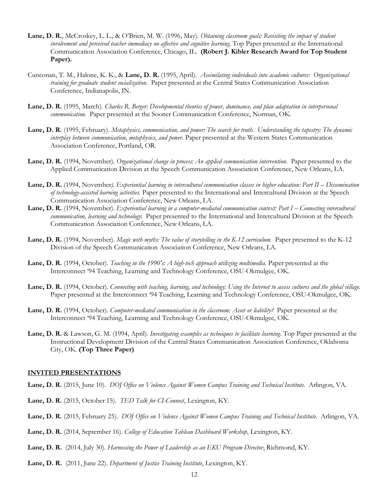- **Lane, D. R.**, McCroskey, L. L., & O'Brien, M. W. (1996, May). *Obtaining classroom goals: Revisiting the impact of student involvement and perceived teacher immediacy on affective and cognitive learning*. Top Paper presented at the International Communication Association Conference, Chicago, IL. **(Robert J. Kibler Research Award for Top Student Paper).**
- Cunconan, T. M., Halone, K. K., & **Lane, D. R.** (1995, April). *Assimilating individuals into academic cultures: Organizational training for graduate student socialization*. Paper presented at the Central States Communication Association Conference, Indianapolis, IN.
- **Lane, D. R.** (1995, March). *Charles R. Berger: Developmental theories of power, dominance, and plan adaptation in interpersonal communication*. Paper presented at the Sooner Communication Conference, Norman, OK.
- **Lane, D. R.** (1995, February). *Metaphysics, communication, and power: The search for truth. Understanding the tapestry: The dynamic interplay between communication, metaphysics, and power*. Paper presented at the Western States Communication Association Conference, Portland, OR.
- **Lane, D. R.** (1994, November). *Organizational change in process: An applied communication intervention*. Paper presented to the Applied Communication Division at the Speech Communication Association Conference, New Orleans, LA.
- **Lane, D. R.** (1994, November*). Experiential learning in intercultural communication classes in higher education: Part II – Dissemination of technology-assisted learning activities.* Paper presented to the International and Intercultural Division at the Speech Communication Association Conference, New Orleans, LA.
- **Lane, D. R.** (1994, November). *Experiential learning in a computer-mediated communication context: Part I – Connecting intercultural communication, learning and technology*: Paper presented to the International and Intercultural Division at the Speech Communication Association Conference, New Orleans, LA.
- **Lane, D. R.** (1994, November). *Magic with myths: The value of storytelling in the K-12 curriculum.* Paper presented to the K-12 Division of the Speech Communication Association Conference, New Orleans, LA.
- **Lane, D. R.** (1994, October). *Teaching in the 1990's: A high-tech approach utilizing multimedia*. Paper presented at the Interconnect '94 Teaching, Learning and Technology Conference, OSU-Okmulgee, OK.
- **Lane, D. R.** (1994, October). *Connecting with teaching, learning, and technology: Using the Internet to access cultures and the global village.* Paper presented at the Interconnect '94 Teaching, Learning and Technology Conference, OSU-Okmulgee, OK.
- **Lane, D. R.** (1994, October). *Computer-mediated communication in the classroom: Asset or liability?* Paper presented at the Interconnect '94 Teaching, Learning and Technology Conference, OSU-Okmulgee, OK.
- **Lane, D. R.** & Lawson, G. M. (1994, April). *Investigating examples as techniques to facilitate learning*. Top Paper presented at the Instructional Development Division of the Central States Communication Association Conference, Oklahoma City, OK. **(Top Three Paper)**

### **INVITED PRESENTATIONS**

- **Lane, D. R.** (2015, June 10). *DOJ Office on Violence Against Women Campus Training and Technical Institute*. Arlingon, VA.
- **Lane, D. R.** (2015, October 15). *TED Talk for CI-Connect*, Lexington, KY.
- **Lane, D. R.** (2015, February 25). *DOJ Office on Violence Against Women Campus Training and Technical Institute*. Arlingon, VA.
- **Lane, D. R.** (2014, September 16). *College of Education Tableau Dashboard Workshop*, Lexington, KY.
- **Lane, D. R.** (2014, July 30). *Harnessing the Power of Leadership as an EKU Program Director*, Richmond, KY.
- **Lane, D. R.** (2011, June 22). *Department of Justice Training Institute*, Lexington, KY.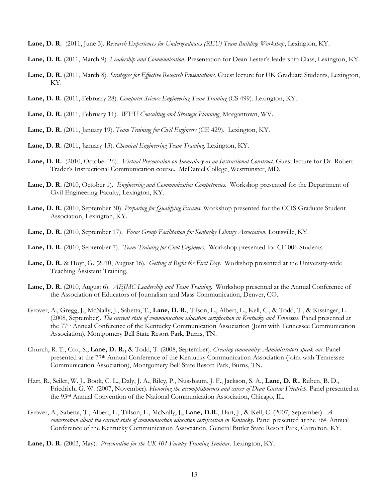- **Lane, D. R.** (2011, June 3). *Research Experiences for Undergraduates (REU) Team Building Workshop*, Lexington, KY.
- **Lane, D. R.** (2011, March 9). *Leadership and Communication*. Presentation for Dean Lester's leadership Class, Lexington, KY.
- **Lane, D. R.** (2011, March 8). *Strategies for Effective Research Presentations*. Guest lecture for UK Graduate Students, Lexington, KY.
- **Lane, D. R.** (2011, February 28). *Computer Science Engineering Team Training* (CS 499). Lexington, KY.
- **Lane, D. R.** (2011, February 11). *WVU Consulting and Strategic Planning*, Morgantown, WV.
- **Lane, D. R.** (2011, January 19). *Team Training for Civil Engineers* (CE 429). Lexington, KY.
- **Lane, D. R.** (2011, January 13). *Chemical Engineering Team Training*. Lexington, KY.
- **Lane, D. R.** (2010, October 26). *Virtual Presentation on Immediacy as an Instructional Construct*. Guest lecture for Dr. Robert Trader's Instructional Communication course. McDaniel College, Westminster, MD.
- **Lane, D. R.** (2010, October 1). *Engineering and Communication Competencies*. Workshop presented for the Department of Civil Engineering Faculty, Lexington, KY.
- **Lane, D. R.** (2010, September 30). *Preparing for Qualifying Exams*. Workshop presented for the CCIS Graduate Student Association, Lexington, KY.
- **Lane, D. R.** (2010, September 17). *Focus Group Facilitation for Kentucky Library Association*, Louisville, KY.
- **Lane, D. R.** (2010, September 7). *Team Training for Civil Engineers*. Workshop presented for CE 006 Students
- **Lane, D. R.** & Hoyt, G. (2010, August 16). *Getting it Right the First Day*. Workshop presented at the University-wide Teaching Assistant Training.
- **Lane, D. R.** (2010, August 6). *AEJMC Leadership and Team Training*. Workshop presented at the Annual Conference of the Association of Educators of Journalism and Mass Communication, Denver, CO.
- Grover, A., Gregg, J., McNally, J., Sabetta, T., **Lane, D. R.**, Tilson, L., Albert, L., Kell, C., & Todd, T., & Kissinger, L. (2008, September). *The current state of communication education certification in Kentucky and Tennessee*. Panel presented at the 77th Annual Conference of the Kentucky Communication Association (Joint with Tennessee Communication Association), Montgomery Bell State Resort Park, Burns, TN.
- Church, R. T., Cox, S., **Lane, D. R.,** & Todd, T. (2008, September). *Creating community: Administrators speak out*. Panel presented at the 77th Annual Conference of the Kentucky Communication Association (Joint with Tennessee Communication Association), Montgomery Bell State Resort Park, Burns, TN.
- Hart, R., Seiler, W. J., Book, C. L., Daly, J. A., Riley, P., Nussbaum, J. F., Jackson, S. A., **Lane, D. R.**, Ruben, B. D., Friedrich, G. W. (2007, November). *Honoring the accomplishments and career of Dean Gustav Friedrich*. Panel presented at the 93rd Annual Convention of the National Communication Association, Chicago, IL.
- Grover, A., Sabetta, T., Albert, L., Tillson, L., McNally, J., **Lane, D.R.**, Hart, J., & Kell, C. (2007, September). *A conversation about the current state of communication education certification in Kentucky*. Panel presented at the 76th Annual Conference of the Kentucky Communication Association, General Butler State Resort Park, Carrolton, KY.
- **Lane, D. R.** (2003, May). *Presentation for the UK 101 Faculty Training Seminar*. Lexington, KY.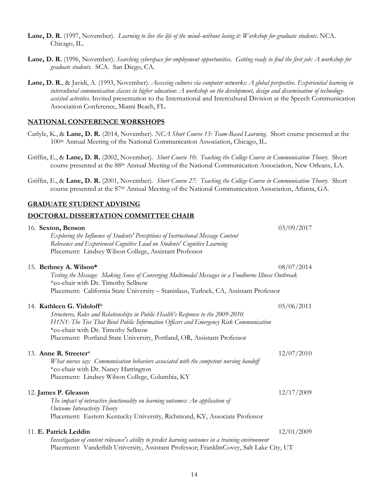- **Lane, D. R.** (1997, November). *Learning to live the life of the mind–without losing it: Workshop for graduate students*. NCA. Chicago, IL.
- **Lane, D. R.** (1996, November). *Searching cyberspace for employment opportunities. Getting ready to find the first job: A workshop for graduate students.* SCA. San Diego, CA.
- **Lane, D. R.**, & Javidi, A. (1993, November). *Accessing cultures via computer networks: A global perspective. Experiential learning in intercultural communication classes in higher education: A workshop on the development, design and dissemination of technologyassisted activities*. Invited presentation to the International and Intercultural Division at the Speech Communication Association Conference, Miami Beach, FL.

### **NATIONAL CONFERENCE WORKSHOPS**

- Carlyle, K., & **Lane, D. R.** (2014, November). *NCA Short Course 13: Team-Based Learning*. Short course presented at the 100th Annual Meeting of the National Communication Association, Chicago, IL.
- Griffin, E., & **Lane, D. R.** (2002, November). *Short Course 10: Teaching the College Course in Communication Theory*. Short course presented at the 88th Annual Meeting of the National Communication Association, New Orleans, LA.
- Griffin, E., & **Lane, D. R.** (2001, November). *Short Course 27: Teaching the College Course in Communication Theory.* Short course presented at the 87th Annual Meeting of the National Communication Association, Atlanta, GA.

#### **GRADUATE STUDENT ADVISING**

### **DOCTORAL DISSERTATION COMMITTEE CHAIR**

| 16. Sexton, Benson                                                                                                                        | 03/09/2017 |
|-------------------------------------------------------------------------------------------------------------------------------------------|------------|
| Exploring the Influence of Students' Perceptions of Instructional Message Content                                                         |            |
| Relevance and Experienced Cognitive Load on Students' Cognitive Learning                                                                  |            |
| Placement: Lindsey Wilson College, Assistant Professor                                                                                    |            |
| 15. Bethney A. Wilson*                                                                                                                    | 08/07/2014 |
| Testing the Message: Making Sense of Converging Multimodal Messages in a Foodborne Illness Outbreak<br>*co-chair with Dr. Timothy Sellnow |            |
| Placement: California State University - Stanislaus, Turlock, CA, Assistant Professor                                                     |            |
| 14. Kathleen G. Vidoloff*                                                                                                                 | 05/06/2011 |
| Structures, Roles and Relationships in Public Health's Response to the 2009-2010                                                          |            |
| H1N1: The Ties That Bind Public Information Officers and Emergency Risk Communication                                                     |            |
| *co-chair with Dr. Timothy Sellnow                                                                                                        |            |
| Placement: Portland State University, Portland, OR, Assistant Professor                                                                   |            |
| 13. Anne R. Streeter*                                                                                                                     | 12/07/2010 |
| What nurses say: Communication behaviors associated with the competent nursing handoff<br>*co-chair with Dr. Nancy Harrington             |            |
| Placement: Lindsey Wilson College, Columbia, KY                                                                                           |            |
| 12. James P. Gleason                                                                                                                      | 12/17/2009 |
| The impact of interactive functionality on learning outcomes: An application of                                                           |            |
| Outcome Interactivity Theory                                                                                                              |            |
| Placement: Eastern Kentucky University, Richmond, KY, Associate Professor                                                                 |            |
| 11. E. Patrick Leddin                                                                                                                     | 12/01/2009 |
| Investigation of content relevance's ability to predict learning outcomes in a training environment                                       |            |
| Placement: Vanderbilt University, Assistant Professor; FranklinCovey, Salt Lake City, UT                                                  |            |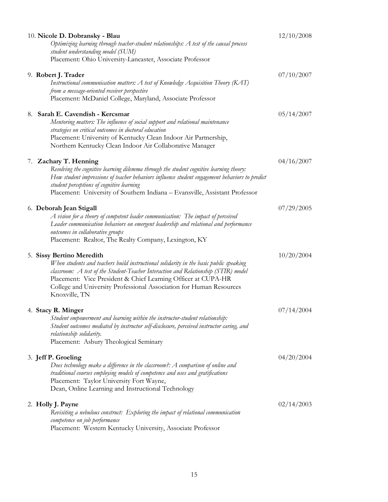| 10. Nicole D. Dobransky - Blau                                                                                                                                                                                                                                                                                                                                     | 12/10/2008 |
|--------------------------------------------------------------------------------------------------------------------------------------------------------------------------------------------------------------------------------------------------------------------------------------------------------------------------------------------------------------------|------------|
| Optimizing learning through teacher-student relationships: A test of the causal process<br>student understanding model (SUM)                                                                                                                                                                                                                                       |            |
| Placement: Ohio University-Lancaster, Associate Professor                                                                                                                                                                                                                                                                                                          |            |
| 9. Robert J. Trader<br>Instructional communication matters: A test of Knowledge Acquisition Theory (KAT)<br>from a message-oriented receiver perspective<br>Placement: McDaniel College, Maryland, Associate Professor                                                                                                                                             | 07/10/2007 |
| 8. Sarah E. Cavendish - Kercsmar<br>Mentoring matters: The influence of social support and relational maintenance<br>strategies on critical outcomes in doctoral education<br>Placement: University of Kentucky Clean Indoor Air Partnership,<br>Northern Kentucky Clean Indoor Air Collaborative Manager                                                          | 05/14/2007 |
| 7. Zachary T. Henning<br>Resolving the cognitive learning dilemma through the student cognitive learning theory:<br>How student impressions of teacher behaviors influence student engagement behaviors to predict<br>student perceptions of cognitive learning<br>Placement: University of Southern Indiana - Evansville, Assistant Professor                     | 04/16/2007 |
| 6. Deborah Jean Stigall<br>A vision for a theory of competent leader communication: The impact of perceived<br>Leader communication behaviors on emergent leadership and relational and performance<br>outcomes in collaborative groups<br>Placement: Realtor, The Realty Company, Lexington, KY                                                                   | 07/29/2005 |
| 5. Sissy Bertino Meredith<br>When students and teachers build instructional solidarity in the basic public speaking<br>classroom: A test of the Student-Teacher Interaction and Relationship (STIR) model<br>Placement: Vice President & Chief Learning Officer at CUPA-HR<br>College and University Professional Association for Human Resources<br>Knoxville, TN | 10/20/2004 |
| 4. Stacy R. Minger<br>Student empowerment and learning within the instructor-student relationship:<br>Student outcomes mediated by instructor self-disclosure, perceived instructor caring, and<br>relationship solidarity.<br>Placement: Asbury Theological Seminary                                                                                              | 07/14/2004 |
| 3. Jeff P. Groeling<br>Does technology make a difference in the classroom?: A comparison of online and<br>traditional courses employing models of competence and uses and gratifications<br>Placement: Taylor University Fort Wayne,<br>Dean, Online Learning and Instructional Technology                                                                         | 04/20/2004 |
| 2. Holly J. Payne<br>Revisiting a nebulous construct: Exploring the impact of relational communication<br>competence on job performance<br>Placement: Western Kentucky University, Associate Professor                                                                                                                                                             | 02/14/2003 |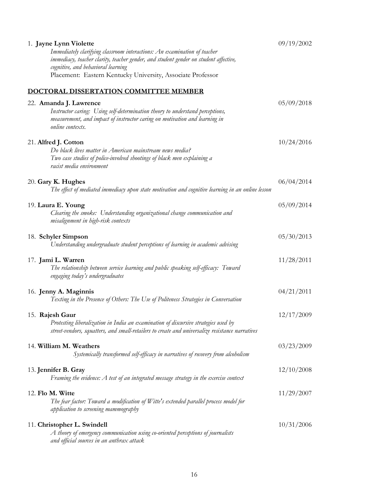| 1. Jayne Lynn Violette<br>Immediately clarifying classroom interactions: An examination of teacher<br>immediacy, teacher clarity, teacher gender, and student gender on student affective,<br>cognitive, and behavioral learning<br>Placement: Eastern Kentucky University, Associate Professor | 09/19/2002 |
|-------------------------------------------------------------------------------------------------------------------------------------------------------------------------------------------------------------------------------------------------------------------------------------------------|------------|
| DOCTORAL DISSERTATION COMMITTEE MEMBER                                                                                                                                                                                                                                                          |            |
| 22. Amanda J. Lawrence<br>Instructor caring: Using self-determination theory to understand perceptions,<br>measurement, and impact of instructor caring on motivation and learning in<br>online contexts.                                                                                       | 05/09/2018 |
| 21. Alfred J. Cotton<br>Do black lives matter in American mainstream news media?<br>Two case studies of police-involved shootings of black men explaining a<br>racist media environment                                                                                                         | 10/24/2016 |
| 20. Gary K. Hughes<br>The effect of mediated immediacy upon state motivation and cognitive learning in an online lesson                                                                                                                                                                         | 06/04/2014 |
| 19. Laura E. Young<br>Clearing the smoke: Understanding organizational change communication and<br>misalignment in high-risk contexts                                                                                                                                                           | 05/09/2014 |
| 18. Schyler Simpson<br>Understanding undergraduate student perceptions of learning in academic advising                                                                                                                                                                                         | 05/30/2013 |
| 17. Jami L. Warren<br>The relationship between service learning and public speaking self-efficacy: Toward<br>engaging today's undergraduates                                                                                                                                                    | 11/28/2011 |
| 16. Jenny A. Maginnis<br>Texting in the Presence of Others: The Use of Politeness Strategies in Conversation                                                                                                                                                                                    | 04/21/2011 |
| 15. Rajesh Gaur<br>Protesting liberalization in India an examination of discursive strategies used by<br>street-vendors, squatters, and small-retailers to create and universalize resistance narratives                                                                                        | 12/17/2009 |
| 14. William M. Weathers<br>Systemically transformed self-efficacy in narratives of recovery from alcoholism                                                                                                                                                                                     | 03/23/2009 |
| 13. Jennifer B. Gray<br>Framing the evidence: A test of an integrated message strategy in the exercise context                                                                                                                                                                                  | 12/10/2008 |
| 12. Flo M. Witte<br>The fear factor: Toward a modification of Witte's extended parallel process model for<br>application to screening mammography                                                                                                                                               | 11/29/2007 |
| 11. Christopher L. Swindell<br>$A$ theory of emergency communication using co-oriented perceptions of journalists<br>and official sources in an anthrax attack                                                                                                                                  | 10/31/2006 |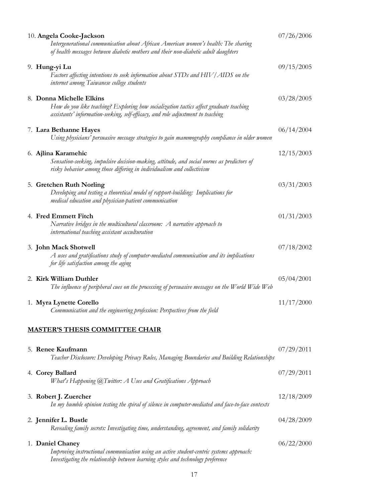| 10. Angela Cooke-Jackson<br>Intergenerational communication about African American women's health: The sharing<br>of health messages between diabetic mothers and their non-diabetic adult daughters  | 07/26/2006 |
|-------------------------------------------------------------------------------------------------------------------------------------------------------------------------------------------------------|------------|
| 9. Hung-yi Lu<br>Factors affecting intentions to seek information about STDs and HIV/AIDS on the<br>internet among Taiwanese college students                                                         | 09/15/2005 |
| 8. Donna Michelle Elkins<br>How do you like teaching? Exploring how socialization tactics affect graduate teaching<br>assistants' information-seeking, self-efficacy, and role adjustment to teaching | 03/28/2005 |
| 7. Lara Bethanne Hayes<br>Using physicians' persuasive message strategies to gain mammography compliance in older women                                                                               | 06/14/2004 |
| 6. Ajlina Karamehic<br>Sensation-seeking, impulsive decision-making, attitude, and social norms as predictors of<br>risky behavior among those differing in individualism and collectivism            | 12/15/2003 |
| 5. Gretchen Ruth Norling<br>Developing and testing a theoretical model of rapport-building: Implications for<br>medical education and physician-patient communication                                 | 03/31/2003 |
| 4. Fred Emmett Fitch<br>Narrative bridges in the multicultural classroom: $A$ narrative approach to<br>international teaching assistant acculturation                                                 | 01/31/2003 |
| 3. John Mack Shotwell<br>A uses and gratifications study of computer-mediated communication and its implications<br>for life satisfaction among the aging                                             | 07/18/2002 |
| 2. Kirk William Duthler<br>The influence of peripheral cues on the processing of persuasive messages on the World Wide Web                                                                            | 05/04/2001 |
| 1. Myra Lynette Corello<br>Communication and the engineering profession: Perspectives from the field                                                                                                  | 11/17/2000 |
| <b>MASTER'S THESIS COMMITTEE CHAIR</b>                                                                                                                                                                |            |
| 5. Renee Kaufmann<br>Teacher Disclosure: Developing Privacy Rules, Managing Boundaries and Building Relationships                                                                                     | 07/29/2011 |
| 4. Corey Ballard                                                                                                                                                                                      | 07/29/2011 |

# *What's Happening @Twitter: A Uses and Gratifications Approach* 3. **Robert J. Zuercher** 12/18/2009 *In my humble opinion testing the spiral of silence in computer-mediated and face-to-face contexts* 2. **Jennifer L. Bustle** 04/28/2009 *Revealing family secrets: Investigating time, understanding, agreement, and family solidarity* 1. **Daniel Chaney** 06/22/2000

*Improving instructional communication using an active student-centric systems approach: Investigating the relationship between learning styles and technology preference*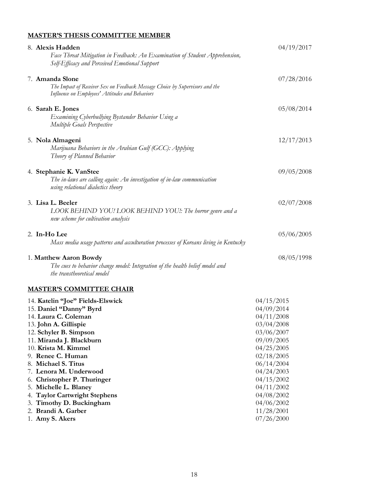# **MASTER'S THESIS COMMITTEE MEMBER**

| 8. Alexis Hadden<br>Face Threat Mitigation in Feedback: An Examination of Student Apprehension,<br>Self-Efficacy and Perceived Emotional Support                                                                                                                                                                                                    | 04/19/2017                                                                                                                                                                         |
|-----------------------------------------------------------------------------------------------------------------------------------------------------------------------------------------------------------------------------------------------------------------------------------------------------------------------------------------------------|------------------------------------------------------------------------------------------------------------------------------------------------------------------------------------|
| 7. Amanda Slone<br>The Impact of Receiver Sex on Feedback Message Choice by Supervisors and the<br>Influence on Employees' Attitudes and Behaviors                                                                                                                                                                                                  | 07/28/2016                                                                                                                                                                         |
| 6. Sarah E. Jones<br>Examining Cyberbullying Bystander Behavior Using a<br>Multiple Goals Perspective                                                                                                                                                                                                                                               | 05/08/2014                                                                                                                                                                         |
| 5. Nola Almageni<br>Marijuana Behaviors in the Arabian Gulf (GCC): Applying<br>Theory of Planned Behavior                                                                                                                                                                                                                                           | 12/17/2013                                                                                                                                                                         |
| 4. Stephanie K. VanStee<br>The in-laws are calling again: An investigation of in-law communication<br>using relational dialectics theory                                                                                                                                                                                                            | 09/05/2008                                                                                                                                                                         |
| 3. Lisa L. Beeler<br>LOOK BEHIND YOU! LOOK BEHIND YOU!: The horror genre and a<br>new scheme for cultivation analysis                                                                                                                                                                                                                               | 02/07/2008                                                                                                                                                                         |
| 2. In-Ho Lee<br>Mass media usage patterns and acculturation processes of Koreans living in Kentucky                                                                                                                                                                                                                                                 | 05/06/2005                                                                                                                                                                         |
| 1. Matthew Aaron Bowdy<br>The cues to behavior change model: Integration of the health belief model and<br>the transtheoretical model                                                                                                                                                                                                               | 08/05/1998                                                                                                                                                                         |
| <b>MASTER'S COMMITTEE CHAIR</b>                                                                                                                                                                                                                                                                                                                     |                                                                                                                                                                                    |
| 14. Katelin "Joe" Fields-Elswick<br>15. Daniel "Danny" Byrd<br>14. Laura C. Coleman<br>13. John A. Gillispie<br>12. Schyler B. Simpson<br>11. Miranda J. Blackburn<br>10. Krista M. Kimmel<br>9. Renee C. Human<br>Michael S. Titus<br>7. Lenora M. Underwood<br>Christopher P. Thuringer<br>5. Michelle L. Blaney<br>4. Taylor Cartwright Stephens | 04/15/2015<br>04/09/2014<br>04/11/2008<br>03/04/2008<br>03/06/2007<br>09/09/2005<br>04/25/2005<br>02/18/2005<br>06/14/2004<br>04/24/2003<br>04/15/2002<br>04/11/2002<br>04/08/2002 |
| 3. Timothy D. Buckingham                                                                                                                                                                                                                                                                                                                            | 04/06/2002                                                                                                                                                                         |

18

2. **Brandi A. Garber** 11/28/2001 2. **Brandi A. Garber** 1. **Amy S. Akers** 11/28/2001<br>1. **Amy S. Akers** 07/26/2000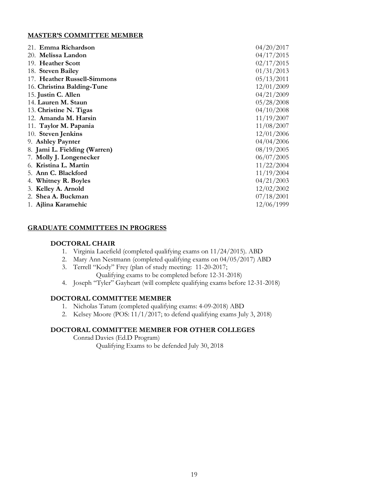### **MASTER'S COMMITTEE MEMBER**

| 21. Emma Richardson          | 04/20/2017 |
|------------------------------|------------|
| 20. Melissa Landon           | 04/17/2015 |
| 19. Heather Scott            | 02/17/2015 |
| 18. Steven Bailey            | 01/31/2013 |
| 17. Heather Russell-Simmons  | 05/13/2011 |
| 16. Christina Balding-Tune   | 12/01/2009 |
| 15. Justin C. Allen          | 04/21/2009 |
| 14. Lauren M. Staun          | 05/28/2008 |
| 13. Christine N. Tigas       | 04/10/2008 |
| 12. Amanda M. Harsin         | 11/19/2007 |
| 11. Taylor M. Papania        | 11/08/2007 |
| 10. Steven Jenkins           | 12/01/2006 |
| 9. Ashley Paynter            | 04/04/2006 |
| 8. Jami L. Fielding (Warren) | 08/19/2005 |
| 7. Molly J. Longenecker      | 06/07/2005 |
| 6. Kristina L. Martin        | 11/22/2004 |
| 5. Ann C. Blackford          | 11/19/2004 |
| 4. Whitney R. Boyles         | 04/21/2003 |
| Kelley A. Arnold<br>3.       | 12/02/2002 |
| 2. Shea A. Buckman           | 07/18/2001 |
| 1. Ajlina Karamehic          | 12/06/1999 |

## **GRADUATE COMMITTEES IN PROGRESS**

### **DOCTORAL CHAIR**

- 1. Virginia Lacefield (completed qualifying exams on 11/24/2015). ABD
- 2. Mary Ann Nestmann (completed qualifying exams on 04/05/2017) ABD
- 3. Terrell "Kody" Frey (plan of study meeting: 11-20-2017;
	- Qualifying exams to be completed before 12-31-2018)
- 4. Joseph "Tyler" Gayheart (will complete qualifying exams before 12-31-2018)

# **DOCTORAL COMMITTEE MEMBER**

- 1. Nicholas Tatum (completed qualifying exams: 4-09-2018) ABD
- 2. Kelsey Moore (POS: 11/1/2017; to defend qualifying exams July 3, 2018)

## **DOCTORAL COMMITTEE MEMBER FOR OTHER COLLEGES**

Conrad Davies (Ed.D Program)

Qualifying Exams to be defended July 30, 2018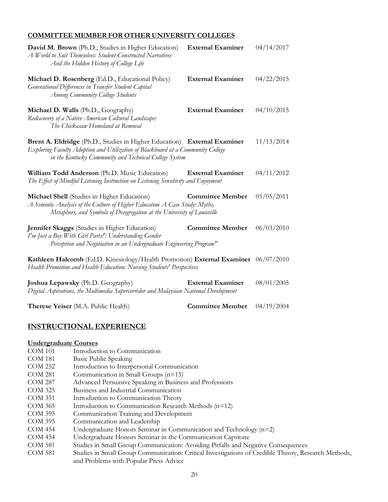# **COMMITTEE MEMBER FOR OTHER UNIVERSITY COLLEGES**

| David M. Brown (Ph.D., Studies in Higher Education)<br>A World to Suit Themselves: Student-Constructed Narratives<br>And the Hidden History of College Life                                                           | <b>External Examiner</b> | 04/14/2017 |
|-----------------------------------------------------------------------------------------------------------------------------------------------------------------------------------------------------------------------|--------------------------|------------|
| Michael D. Rosenberg (Ed.D., Educational Policy)<br>Generational Differences in Transfer Student Capital<br>Among Community College Students                                                                          | <b>External Examiner</b> | 04/22/2015 |
| Michael D. Walls (Ph.D., Geography)<br>Rediscovery of a Native American Cultural Landscape:<br>The Chickasaw Homeland at Removal                                                                                      | <b>External Examiner</b> | 04/10/2015 |
| Brent A. Eldridge (Ph.D., Studies in Higher Education) External Examiner<br>Exploring Faculty Adoption and Utilization of Blackboard at a Community College<br>in the Kentucky Community and Technical College System |                          | 11/13/2014 |
| William Todd Anderson (Ph.D. Music Education)<br>The Effect of Mindful Listening Instruction on Listening Sensitivity and Enjoyment                                                                                   | <b>External Examiner</b> | 04/11/2012 |
| Michael Shell (Studies in Higher Education)<br>A Semiotic Analysis of the Culture of Higher Education A Case Study: Myths,<br>Metaphors, and Symbols of Desegregation at the University of Louisville                 | <b>Committee Member</b>  | 05/05/2011 |
| Jennifer Skaggs (Studies in Higher Education)<br>I'm Just a Boy With Girl Parts!': Understanding Gender<br>Perception and Negotiation in an Undergraduate Engineering Program"                                        | <b>Committee Member</b>  | 06/03/2010 |
| Kathleen Halcomb (Ed.D. Kinesiology/Health Promotion) External Examiner 06/07/2010<br>Health Promotion and Health Education: Nursing Students' Perspectives                                                           |                          |            |
| Joshua Lepawsky (Ph.D. Geography)<br>Digital Aspirations, the Multimedia Supercorridor and Malaysian National Development                                                                                             | <b>External Examiner</b> | 08/01/2005 |
| Therese Yeiser (M.A. Public Health)                                                                                                                                                                                   | <b>Committee Member</b>  | 04/19/2004 |

# **INSTRUCTIONAL EXPERIENCE**

# **Undergraduate Courses**

| <b>COM 101</b> | Introduction to Communication                                                                       |
|----------------|-----------------------------------------------------------------------------------------------------|
| COM 181        | Basic Public Speaking                                                                               |
| COM 252        | Introduction to Interpersonal Communication                                                         |
| COM 281        | Communication in Small Groups $(n=15)$                                                              |
| COM 287        | Advanced Persuasive Speaking in Business and Professions                                            |
| COM 325        | Business and Industrial Communication                                                               |
| COM 351        | Introduction to Communication Theory                                                                |
| COM 365        | Introduction to Communication Research Methods (n=12)                                               |
| COM 395        | Communication Training and Development                                                              |
| COM 395        | Communication and Leadership                                                                        |
| <b>COM 454</b> | Undergraduate Honors Seminar in Communication and Technology $(n=2)$                                |
| COM 454        | Undergraduate Honors Seminar in the Communication Capstone                                          |
| <b>COM 581</b> | Studies in Small Group Communication: Avoiding Pitfalls and Negative Consequences                   |
| COM 581        | Studies in Small Group Communication: Critical Investigations of Credible Theory, Research Methods, |
|                | and Problems with Popular Press Advice                                                              |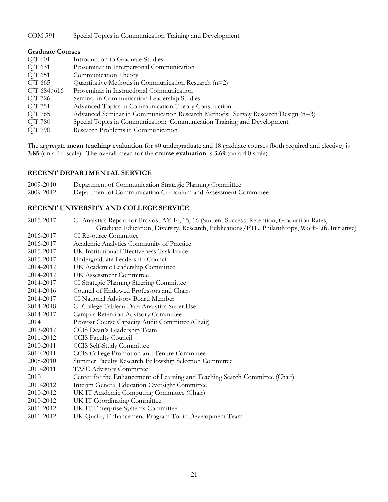COM 591 Special Topics in Communication Training and Development

| <b>Graduate Courses</b> |                                                                                  |  |
|-------------------------|----------------------------------------------------------------------------------|--|
| $CJT$ 601               | Introduction to Graduate Studies                                                 |  |
| $CJT$ 631               | Proseminar in Interpersonal Communication                                        |  |
| CIT 651                 | Communication Theory                                                             |  |
| CJT 665                 | Quantitative Methods in Communication Research (n=2)                             |  |
| CJT 684/616             | Proseminar in Instructional Communication                                        |  |
| CJT 726                 | Seminar in Communication Leadership Studies                                      |  |
| CJT 751                 | Advanced Topics in Communication Theory Construction                             |  |
| CJT 765                 | Advanced Seminar in Communication Research Methods: Survey Research Design (n=3) |  |
| CJT 780                 | Special Topics in Communication: Communication Training and Development          |  |
| <b>CJT 790</b>          | Research Problems in Communication                                               |  |

The aggregate **mean teaching evaluation** for 40 undergraduate and 18 graduate courses (both required and elective) is **3.85** (on a 4.0 scale). The overall mean for the **course evaluation** is **3.69** (on a 4.0 scale).

### **RECENT DEPARTMENTAL SERVICE**

| 2009-2010 | Department of Communication Strategic Planning Committee        |
|-----------|-----------------------------------------------------------------|
| 2009-2012 | Department of Communication Curriculum and Assessment Committee |

## **RECENT UNIVERSITY AND COLLEGE SERVICE**

| 2015-2017 | CI Analytics Report for Provost AY 14, 15, 16 (Student Success; Retention, Graduation Rates,   |  |  |
|-----------|------------------------------------------------------------------------------------------------|--|--|
|           | Graduate Education, Diversity, Research, Publications/FTE, Philanthropy, Work-Life Initiative) |  |  |
| 2016-2017 | <b>CI</b> Resource Committee                                                                   |  |  |
| 2016-2017 | Academic Analytics Community of Practice                                                       |  |  |
| 2015-2017 | UK Institutional Effectiveness Task Force                                                      |  |  |
| 2015-2017 | Undergraduate Leadership Council                                                               |  |  |
| 2014-2017 | UK Academic Leadership Committee                                                               |  |  |
| 2014-2017 | <b>UK Assessment Committee</b>                                                                 |  |  |
| 2014-2017 | CI Strategic Planning Steering Committee                                                       |  |  |
| 2014-2016 | Council of Endowed Professors and Chairs                                                       |  |  |
| 2014-2017 | CI National Advisory Board Member                                                              |  |  |
| 2014-2018 | CI College Tableau Data Analytics Super User                                                   |  |  |
| 2014-2017 | Campus Retention Advisory Committee                                                            |  |  |
| 2014      | Provost Course Capacity Audit Committee (Chair)                                                |  |  |
| 2013-2017 | CCIS Dean's Leadership Team                                                                    |  |  |
| 2011-2012 | <b>CCIS Faculty Council</b>                                                                    |  |  |
| 2010-2011 | <b>CCIS Self-Study Committee</b>                                                               |  |  |
| 2010-2011 | CCIS College Promotion and Tenure Committee                                                    |  |  |
| 2008-2010 | Summer Faculty Research Fellowship Selection Committee                                         |  |  |
| 2010-2011 | TASC Advisory Committee                                                                        |  |  |
| 2010      | Center for the Enhancement of Learning and Teaching Search Committee (Chair)                   |  |  |
| 2010-2012 | Interim General Education Oversight Committee                                                  |  |  |
| 2010-2012 | UK IT Academic Computing Committee (Chair)                                                     |  |  |
| 2010-2012 | UK IT Coordinating Committee                                                                   |  |  |
| 2011-2012 | UK IT Enterprise Systems Committee                                                             |  |  |
| 2011-2012 | UK Quality Enhancement Program Topic Development Team                                          |  |  |